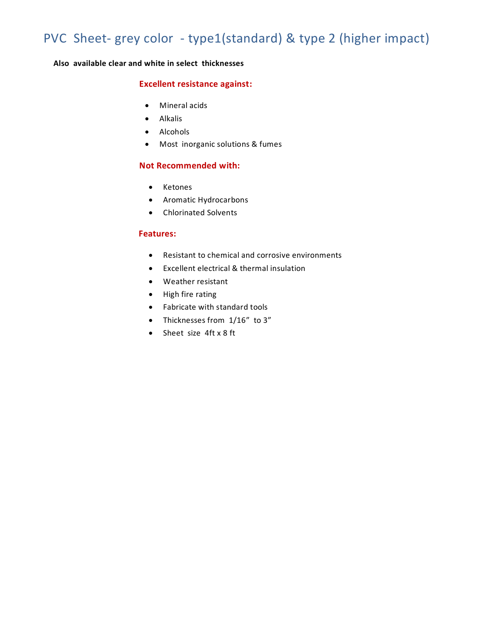## PVC Sheet- grey color - type1(standard) & type 2 (higher impact)

**Also available clear and white in select thicknesses** 

### **Excellent resistance against:**

- Mineral acids
- Alkalis
- Alcohols
- Most inorganic solutions & fumes

### **Not Recommended with:**

- Ketones
- Aromatic Hydrocarbons
- Chlorinated Solvents

### **Features:**

- Resistant to chemical and corrosive environments
- $\bullet$  Excellent electrical & thermal insulation
- Weather resistant
- High fire rating
- Fabricate with standard tools
- Thicknesses from  $1/16''$  to 3"
- Sheet size 4ft x 8 ft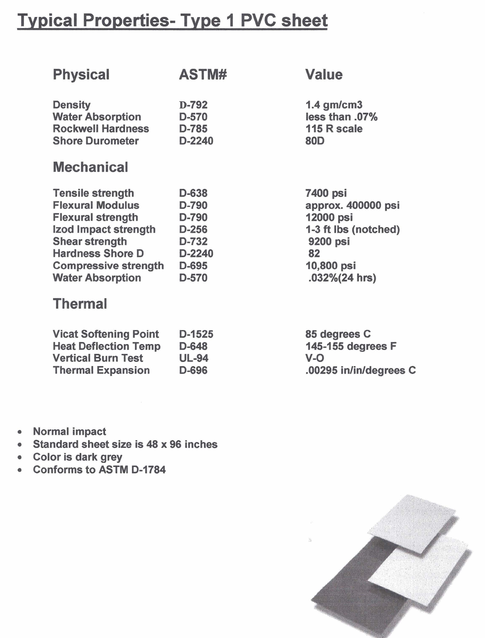## Typical Properties- Type 1 PVC sheet

| <b>Physical</b>              | ASTM#        | <b>Value</b>           |
|------------------------------|--------------|------------------------|
| <b>Density</b>               | D-792        | $1.4$ gm/cm3           |
| <b>Water Absorption</b>      | D-570        | less than .07%         |
| <b>Rockwell Hardness</b>     | D-785        | 115 R scale            |
| <b>Shore Durometer</b>       | $D-2240$     | <b>80D</b>             |
| <b>Mechanical</b>            |              |                        |
| <b>Tensile strength</b>      | D-638        | 7400 psi               |
| <b>Flexural Modulus</b>      | D-790        | approx. 400000 psi     |
| <b>Flexural strength</b>     | D-790        | 12000 psi              |
| Izod Impact strength         | $D-256$      | 1-3 ft lbs (notched)   |
| <b>Shear strength</b>        | D-732        | 9200 psi               |
| <b>Hardness Shore D</b>      | D-2240       | 82                     |
| <b>Compressive strength</b>  | D-695        | 10,800 psi             |
| <b>Water Absorption</b>      | D-570        | $.032\% (24 hrs)$      |
| <b>Thermal</b>               |              |                        |
| <b>Vicat Softening Point</b> | D-1525       | 85 degrees C           |
| <b>Heat Deflection Temp</b>  | D-648        | 145-155 degrees F      |
| <b>Vertical Burn Test</b>    | <b>UL-94</b> | $V - O$                |
| <b>Thermal Expansion</b>     | D-696        | .00295 in/in/degrees C |

- Normal impact  $\bullet$
- Standard sheet size is 48 x 96 inches
- Color is dark grey
- Conforms to ASTM D-1784  $\bullet$